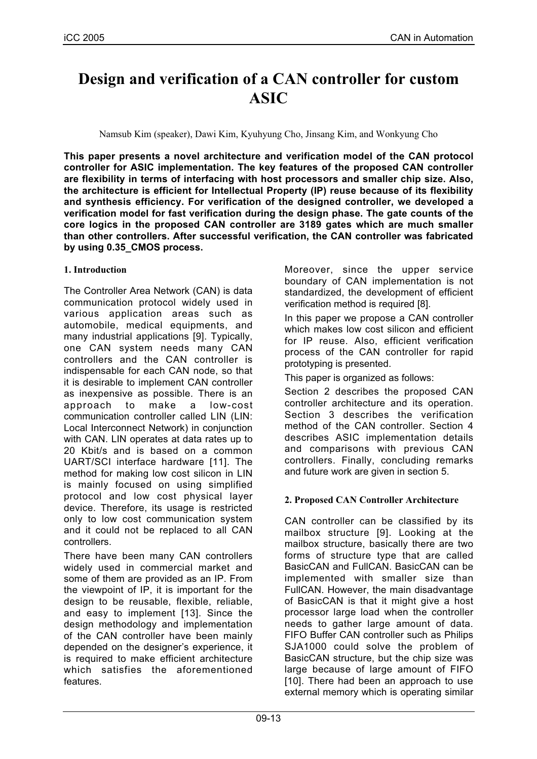# **Design and verification of a CAN controller for custom ASIC**

Namsub Kim (speaker), Dawi Kim, Kyuhyung Cho, Jinsang Kim, and Wonkyung Cho

**This paper presents a novel architecture and verification model of the CAN protocol controller for ASIC implementation. The key features of the proposed CAN controller are flexibility in terms of interfacing with host processors and smaller chip size. Also, the architecture is efficient for Intellectual Property (IP) reuse because of its flexibility and synthesis efficiency. For verification of the designed controller, we developed a verification model for fast verification during the design phase. The gate counts of the core logics in the proposed CAN controller are 3189 gates which are much smaller than other controllers. After successful verification, the CAN controller was fabricated by using 0.35\_CMOS process.**

## **1. Introduction**

The Controller Area Network (CAN) is data communication protocol widely used in various application areas such as automobile, medical equipments, and many industrial applications [9]. Typically, one CAN system needs many CAN controllers and the CAN controller is indispensable for each CAN node, so that it is desirable to implement CAN controller as inexpensive as possible. There is an approach to make a low-cost communication controller called LIN (LIN: Local Interconnect Network) in conjunction with CAN. LIN operates at data rates up to 20 Kbit/s and is based on a common UART/SCI interface hardware [11]. The method for making low cost silicon in LIN is mainly focused on using simplified protocol and low cost physical layer device. Therefore, its usage is restricted only to low cost communication system and it could not be replaced to all CAN controllers.

There have been many CAN controllers widely used in commercial market and some of them are provided as an IP. From the viewpoint of IP, it is important for the design to be reusable, flexible, reliable, and easy to implement [13]. Since the design methodology and implementation of the CAN controller have been mainly depended on the designer's experience, it is required to make efficient architecture which satisfies the aforementioned features.

Moreover, since the upper service boundary of CAN implementation is not standardized, the development of efficient verification method is required [8].

In this paper we propose a CAN controller which makes low cost silicon and efficient for IP reuse. Also, efficient verification process of the CAN controller for rapid prototyping is presented.

This paper is organized as follows:

Section 2 describes the proposed CAN controller architecture and its operation. Section 3 describes the verification method of the CAN controller. Section 4 describes ASIC implementation details and comparisons with previous CAN controllers. Finally, concluding remarks and future work are given in section 5.

## **2. Proposed CAN Controller Architecture**

CAN controller can be classified by its mailbox structure [9]. Looking at the mailbox structure, basically there are two forms of structure type that are called BasicCAN and FullCAN. BasicCAN can be implemented with smaller size than FullCAN. However, the main disadvantage of BasicCAN is that it might give a host processor large load when the controller needs to gather large amount of data. FIFO Buffer CAN controller such as Philips SJA1000 could solve the problem of BasicCAN structure, but the chip size was large because of large amount of FIFO [10]. There had been an approach to use external memory which is operating similar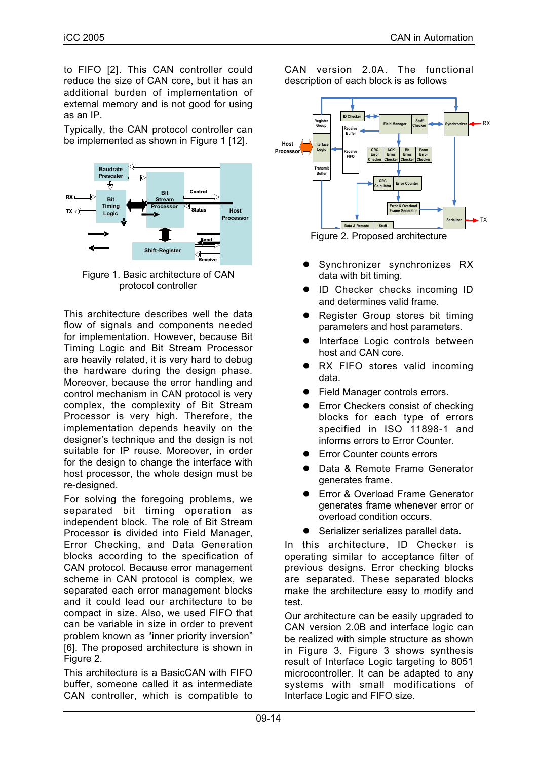to FIFO [2]. This CAN controller could reduce the size of CAN core, but it has an additional burden of implementation of external memory and is not good for using as an IP.

Typically, the CAN protocol controller can be implemented as shown in Figure 1 [12].



Figure 1. Basic architecture of CAN protocol controller

This architecture describes well the data flow of signals and components needed for implementation. However, because Bit Timing Logic and Bit Stream Processor are heavily related, it is very hard to debug the hardware during the design phase. Moreover, because the error handling and control mechanism in CAN protocol is very complex, the complexity of Bit Stream Processor is very high. Therefore, the implementation depends heavily on the designer's technique and the design is not suitable for IP reuse. Moreover, in order for the design to change the interface with host processor, the whole design must be re-designed.

For solving the foregoing problems, we separated bit timing operation as independent block. The role of Bit Stream Processor is divided into Field Manager, Error Checking, and Data Generation blocks according to the specification of CAN protocol. Because error management scheme in CAN protocol is complex, we separated each error management blocks and it could lead our architecture to be compact in size. Also, we used FIFO that can be variable in size in order to prevent problem known as "inner priority inversion" [6]. The proposed architecture is shown in Figure 2.

This architecture is a BasicCAN with FIFO buffer, someone called it as intermediate CAN controller, which is compatible to CAN version 2.0A. The functional description of each block is as follows



- Synchronizer synchronizes RX data with bit timing.
- ID Checker checks incoming ID and determines valid frame.
- Register Group stores bit timing parameters and host parameters.
- Interface Logic controls between host and CAN core.
- RX FIFO stores valid incoming data.
- Field Manager controls errors.
- Error Checkers consist of checking blocks for each type of errors specified in ISO 11898-1 and informs errors to Error Counter.
- Error Counter counts errors
- Data & Remote Frame Generator generates frame.
- Error & Overload Frame Generator generates frame whenever error or overload condition occurs.
- Serializer serializes parallel data.

In this architecture, ID Checker is operating similar to acceptance filter of previous designs. Error checking blocks are separated. These separated blocks make the architecture easy to modify and test.

Our architecture can be easily upgraded to CAN version 2.0B and interface logic can be realized with simple structure as shown in Figure 3. Figure 3 shows synthesis result of Interface Logic targeting to 8051 microcontroller. It can be adapted to any systems with small modifications of Interface Logic and FIFO size.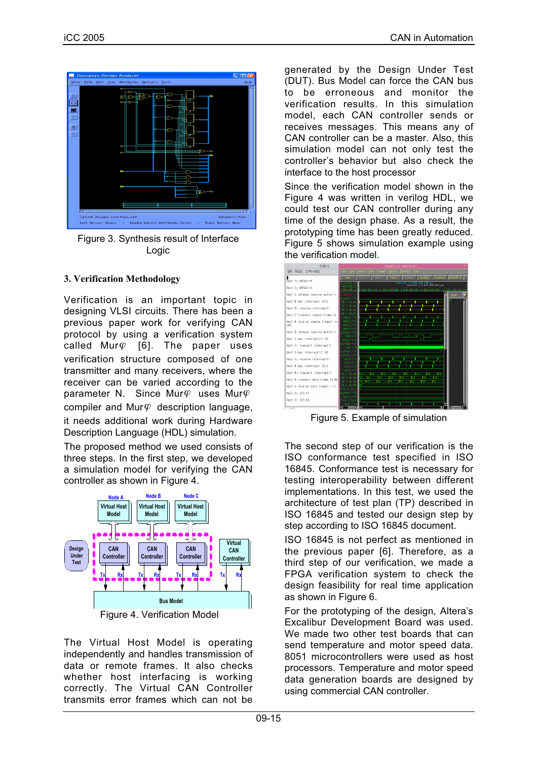

Figure 3. Synthesis result of Interface Logic

#### **3. Verification Methodology**

Verification is an important topic in designing VLSI circuits. There has been a previous paper work for verifying CAN protocol by using a verification system called Mur $\varphi$  [6]. The paper uses verification structure composed of one transmitter and many receivers, where the receiver can be varied according to the parameter N. Since Mur $\varphi$  uses Mur $\varphi$ compiler and Mur $\varphi$  description language, it needs additional work during Hardware Description Language (HDL) simulation.

The proposed method we used consists of three steps. In the first step, we developed a simulation model for verifying the CAN controller as shown in Figure 4.



The Virtual Host Model is operating independently and handles transmission of data or remote frames. It also checks whether host interfacing is working correctly. The Virtual CAN Controller transmits error frames which can not be

generated by the Design Under Test (DUT). Bus Model can force the CAN bus to be erroneous and monitor the verification results. In this simulation model, each CAN controller sends or receives messages. This means any of CAN controller can be a master. Also, this simulation model can not only test the controller's behavior but also check the interface to the host processor

Since the verification model shown in the Figure 4 was written in verilog HDL, we could test our CAN controller during any time of the design phase. As a result, the prototyping time has been greatly reduced. Figure 5 shows simulation example using the verification model.



Figure 5. Example of simulation

The second step of our verification is the ISO conformance test specified in ISO 16845. Conformance test is necessary for testing interoperability between different implementations. In this test, we used the architecture of test plan (TP) described in ISO 16845 and tested our design step by step according to ISO 16845 document.

ISO 16845 is not perfect as mentioned in the previous paper [6]. Therefore, as a third step of our verification, we made a FPGA verification system to check the design feasibility for real time application as shown in Figure 6.

For the prototyping of the design, Altera's Excalibur Development Board was used. We made two other test boards that can send temperature and motor speed data. 8051 microcontrollers were used as host processors. Temperature and motor speed data generation boards are designed by using commercial CAN controller.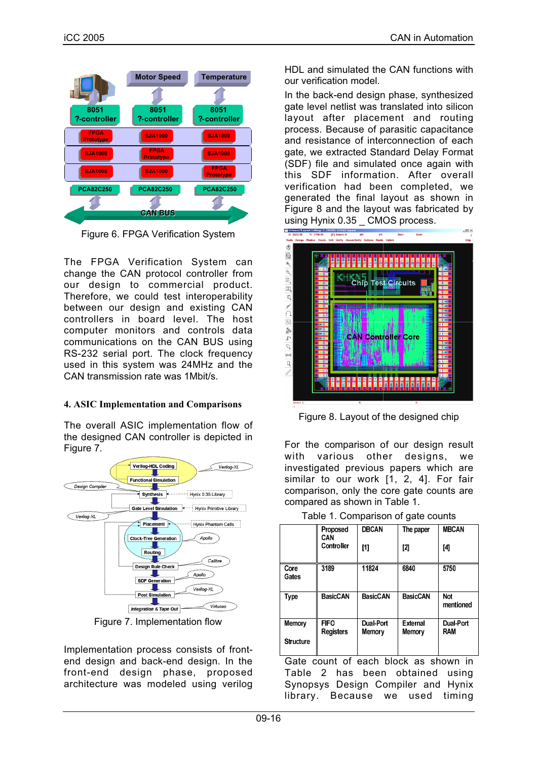|                                 | <b>Motor Speed</b>              | <b>Temperature</b>              |  |
|---------------------------------|---------------------------------|---------------------------------|--|
|                                 |                                 |                                 |  |
| 8051<br>?-controller            | 8051<br>?-controller            | 8051<br>?-controller            |  |
| <b>FPGA</b><br><b>Prototype</b> | <b>SJA1000</b>                  | <b>SJA1000</b>                  |  |
| <b>SJA1000</b>                  | <b>FPGA</b><br><b>Prototype</b> | <b>SJA1000</b>                  |  |
| <b>SJA1000</b>                  | <b>SJA1000</b>                  | <b>FPGA</b><br><b>Prototype</b> |  |
| <b>PCA82C250</b>                | <b>PCA82C250</b>                | <b>PCA82C250</b>                |  |
|                                 | <b>CAN BUS</b>                  |                                 |  |

Figure 6. FPGA Verification System

The FPGA Verification System can change the CAN protocol controller from our design to commercial product. Therefore, we could test interoperability between our design and existing CAN controllers in board level. The host computer monitors and controls data communications on the CAN BUS using RS-232 serial port. The clock frequency used in this system was 24MHz and the CAN transmission rate was 1Mbit/s.

#### **4. ASIC Implementation and Comparisons**

The overall ASIC implementation flow of the designed CAN controller is depicted in Figure 7.



Figure 7. Implementation flow

Implementation process consists of frontend design and back-end design. In the front-end design phase, proposed architecture was modeled using verilog

iCC 2005 CAN in Automation CAN in Automation CAN in Automation

HDL and simulated the CAN functions with our verification model.

In the back-end design phase, synthesized gate level netlist was translated into silicon layout after placement and routing process. Because of parasitic capacitance and resistance of interconnection of each gate, we extracted Standard Delay Format (SDF) file and simulated once again with this SDF information. After overall verification had been completed, we generated the final layout as shown in Figure 8 and the layout was fabricated by USing Hynix 0.35 \_ CMOS process.



Figure 8. Layout of the designed chip

For the comparison of our design result with various other designs, we investigated previous papers which are similar to our work [1, 2, 4]. For fair comparison, only the core gate counts are compared as shown in Table 1.

Table 1. Comparison of gate counts

|                  | Proposed<br>CAN                 | <b>DBCAN</b>               | The paper          | <b>MBCAN</b>                   |
|------------------|---------------------------------|----------------------------|--------------------|--------------------------------|
|                  | Controller                      | [1]                        | [2]                | [4]                            |
| Core<br>Gates    | 3189                            | 11824                      | 6840               | 5750                           |
| <b>Type</b>      | <b>BasicCAN</b>                 | <b>BasicCAN</b>            | <b>BasicCAN</b>    | Not<br>mentioned               |
| Memory           | <b>FIFO</b><br><b>Registers</b> | Dual-Port<br><b>Memory</b> | External<br>Memory | <b>Dual-Port</b><br><b>RAM</b> |
| <b>Structure</b> |                                 |                            |                    |                                |

Gate count of each block as shown in Table 2 has been obtained using Synopsys Design Compiler and Hynix library. Because we used timing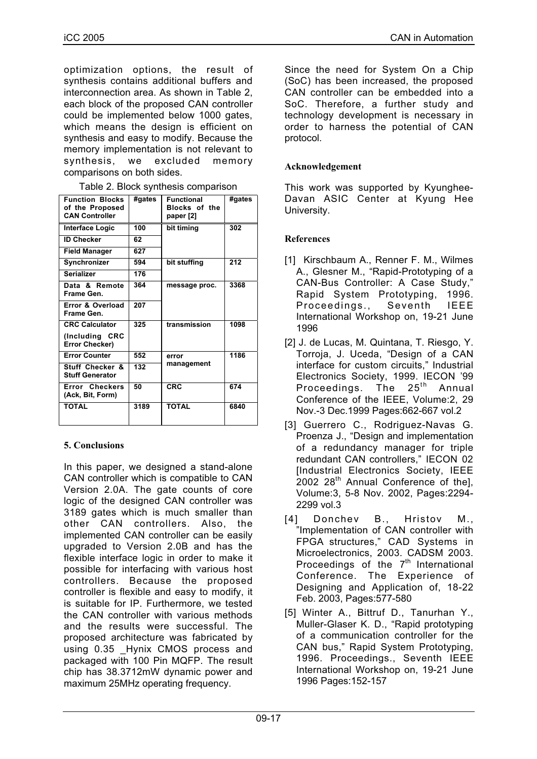optimization options, the result of synthesis contains additional buffers and interconnection area. As shown in Table 2, each block of the proposed CAN controller could be implemented below 1000 gates, which means the design is efficient on synthesis and easy to modify. Because the memory implementation is not relevant to synthesis, we excluded memory comparisons on both sides.

Table 2. Block synthesis comparison

| <b>Function Blocks</b><br>of the Proposed<br><b>CAN Controller</b> | #gates | <b>Functional</b><br><b>Blocks of the</b><br>paper [2] | #gates |
|--------------------------------------------------------------------|--------|--------------------------------------------------------|--------|
| <b>Interface Logic</b>                                             | 100    | bit timing                                             | 302    |
| <b>ID Checker</b>                                                  | 62     |                                                        |        |
| <b>Field Manager</b>                                               | 627    |                                                        |        |
| Synchronizer                                                       | 594    | bit stuffing                                           | 212    |
| <b>Serializer</b>                                                  | 176    |                                                        |        |
| Data & Remote<br>Frame Gen.                                        | 364    | message proc.                                          | 3368   |
| Error & Overload<br>Frame Gen.                                     | 207    |                                                        |        |
| <b>CRC Calculator</b>                                              | 325    | transmission                                           | 1098   |
| (Including CRC<br>Error Checker)                                   |        |                                                        |        |
| <b>Error Counter</b>                                               | 552    | error                                                  | 1186   |
| <b>Stuff Checker &amp;</b><br><b>Stuff Generator</b>               | 132    | management                                             |        |
| Error Checkers<br>(Ack, Bit, Form)                                 | 50     | <b>CRC</b>                                             | 674    |
| <b>TOTAL</b>                                                       | 3189   | <b>TOTAL</b>                                           | 6840   |

#### **5. Conclusions**

In this paper, we designed a stand-alone CAN controller which is compatible to CAN Version 2.0A. The gate counts of core logic of the designed CAN controller was 3189 gates which is much smaller than other CAN controllers. Also, the implemented CAN controller can be easily upgraded to Version 2.0B and has the flexible interface logic in order to make it possible for interfacing with various host controllers. Because the proposed controller is flexible and easy to modify, it is suitable for IP. Furthermore, we tested the CAN controller with various methods and the results were successful. The proposed architecture was fabricated by using 0.35 Hynix CMOS process and packaged with 100 Pin MQFP. The result chip has 38.3712mW dynamic power and maximum 25MHz operating frequency.

Since the need for System On a Chip (SoC) has been increased, the proposed CAN controller can be embedded into a SoC. Therefore, a further study and technology development is necessary in order to harness the potential of CAN protocol.

## **Acknowledgement**

This work was supported by Kyunghee-Davan ASIC Center at Kyung Hee University.

## **References**

- [1] Kirschbaum A., Renner F. M., Wilmes A., Glesner M., "Rapid-Prototyping of a CAN-Bus Controller: A Case Study," Rapid System Prototyping, 1996. Proceedings., Seventh IEEE International Workshop on, 19-21 June 1996
- [2] J. de Lucas, M. Quintana, T. Riesgo, Y. Torroja, J. Uceda, "Design of a CAN interface for custom circuits," Industrial Electronics Society, 1999. IECON '99<br>Proceedings. The 25<sup>th</sup> Annual Proceedings. The  $25<sup>th</sup>$  Annual Conference of the IEEE, Volume:2, 29 Nov.-3 Dec.1999 Pages:662-667 vol.2
- [3] Guerrero C., Rodriguez-Navas G. Proenza J., "Design and implementation of a redundancy manager for triple redundant CAN controllers," IECON 02 [Industrial Electronics Society, IEEE 2002 28<sup>th</sup> Annual Conference of the], Volume:3, 5-8 Nov. 2002, Pages:2294- 2299 vol.3
- [4] Donchev B., Hristov M., "Implementation of CAN controller with FPGA structures," CAD Systems in Microelectronics, 2003. CADSM 2003. Proceedings of the  $7<sup>th</sup>$  International Conference. The Experience of Designing and Application of, 18-22 Feb. 2003, Pages:577-580
- [5] Winter A., Bittruf D., Tanurhan Y., Muller-Glaser K. D., "Rapid prototyping of a communication controller for the CAN bus," Rapid System Prototyping, 1996. Proceedings., Seventh IEEE International Workshop on, 19-21 June 1996 Pages:152-157